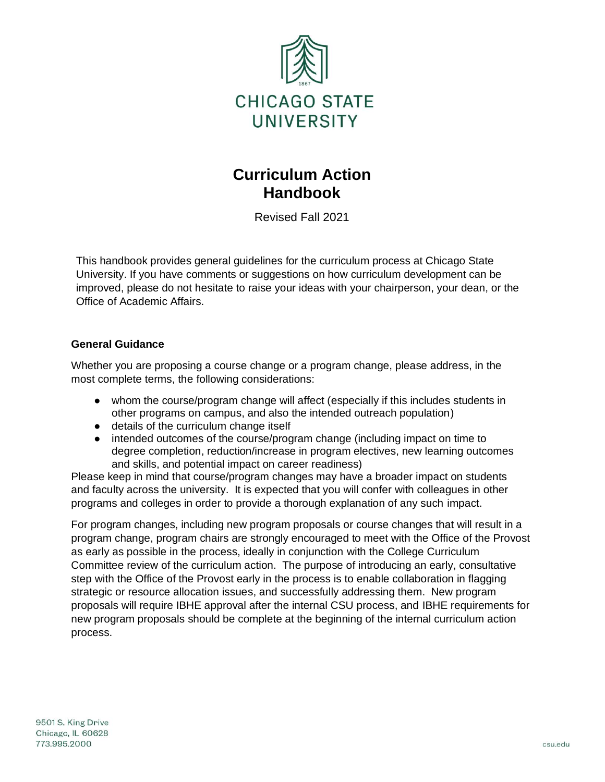

# **Curriculum Action Handbook**

Revised Fall 2021

This handbook provides general guidelines for the curriculum process at Chicago State University. If you have comments or suggestions on how curriculum development can be improved, please do not hesitate to raise your ideas with your chairperson, your dean, or the Office of Academic Affairs.

# **General Guidance**

Whether you are proposing a course change or a program change, please address, in the most complete terms, the following considerations:

- whom the course/program change will affect (especially if this includes students in other programs on campus, and also the intended outreach population)
- details of the curriculum change itself
- intended outcomes of the course/program change (including impact on time to degree completion, reduction/increase in program electives, new learning outcomes and skills, and potential impact on career readiness)

Please keep in mind that course/program changes may have a broader impact on students and faculty across the university. It is expected that you will confer with colleagues in other programs and colleges in order to provide a thorough explanation of any such impact.

For program changes, including new program proposals or course changes that will result in a program change, program chairs are strongly encouraged to meet with the Office of the Provost as early as possible in the process, ideally in conjunction with the College Curriculum Committee review of the curriculum action. The purpose of introducing an early, consultative step with the Office of the Provost early in the process is to enable collaboration in flagging strategic or resource allocation issues, and successfully addressing them. New program proposals will require IBHE approval after the internal CSU process, and IBHE requirements for new program proposals should be complete at the beginning of the internal curriculum action process.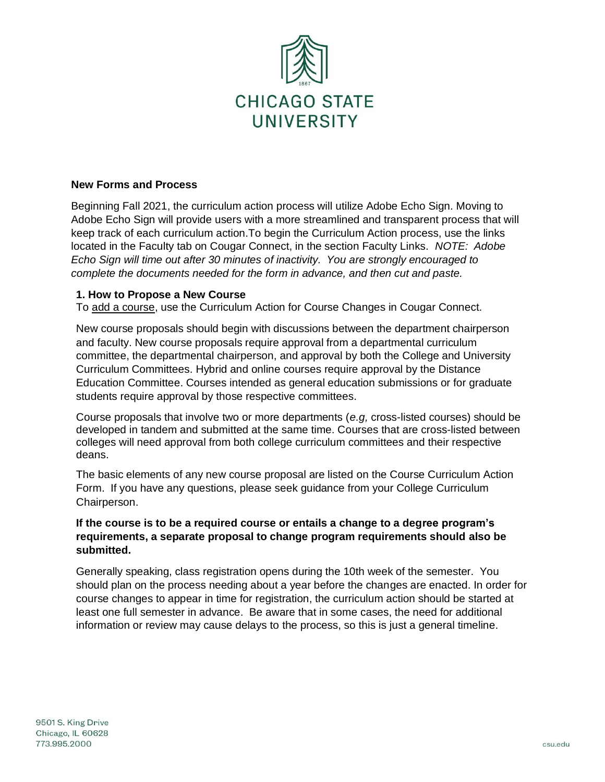

#### **New Forms and Process**

Beginning Fall 2021, the curriculum action process will utilize Adobe Echo Sign. Moving to Adobe Echo Sign will provide users with a more streamlined and transparent process that will keep track of each curriculum action.To begin the Curriculum Action process, use the links located in the Faculty tab on Cougar Connect, in the section Faculty Links. *NOTE: Adobe Echo Sign will time out after 30 minutes of inactivity. You are strongly encouraged to complete the documents needed for the form in advance, and then cut and paste.*

#### **1. How to Propose a New Course**

To add a course, use the Curriculum Action for Course Changes in Cougar Connect.

New course proposals should begin with discussions between the department chairperson and faculty. New course proposals require approval from a departmental curriculum committee, the departmental chairperson, and approval by both the College and University Curriculum Committees. Hybrid and online courses require approval by the Distance Education Committee. Courses intended as general education submissions or for graduate students require approval by those respective committees.

Course proposals that involve two or more departments (*e.g,* cross-listed courses) should be developed in tandem and submitted at the same time. Courses that are cross-listed between colleges will need approval from both college curriculum committees and their respective deans.

The basic elements of any new course proposal are listed on the Course Curriculum Action Form. If you have any questions, please seek guidance from your College Curriculum Chairperson.

## **If the course is to be a required course or entails a change to a degree program's requirements, a separate proposal to change program requirements should also be submitted.**

Generally speaking, class registration opens during the 10th week of the semester. You should plan on the process needing about a year before the changes are enacted. In order for course changes to appear in time for registration, the curriculum action should be started at least one full semester in advance. Be aware that in some cases, the need for additional information or review may cause delays to the process, so this is just a general timeline.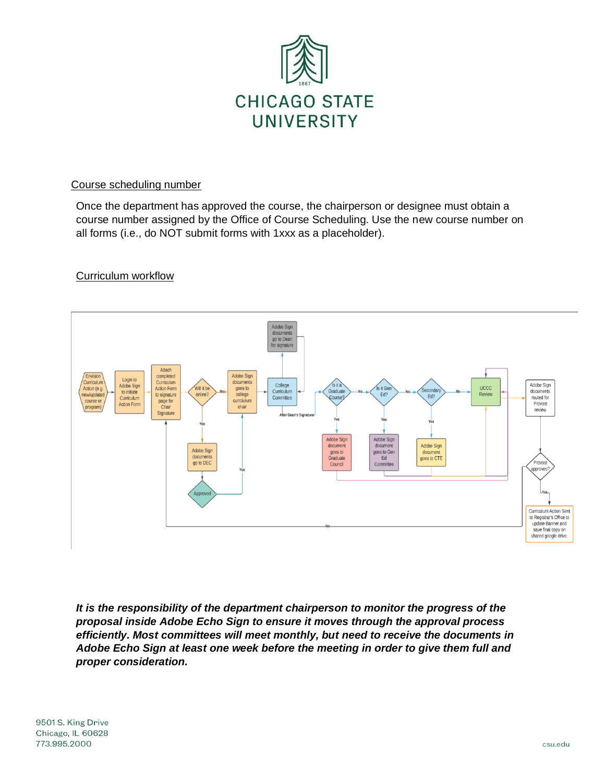

## Course scheduling number

Once the department has approved the course, the chairperson or designee must obtain a course number assigned by the Office of Course Scheduling. Use the new course number on all forms (i.e., do NOT submit forms with 1xxx as a placeholder).

# Curriculum workflow



*It is the responsibility of the department chairperson to monitor the progress of the proposal inside Adobe Echo Sign to ensure it moves through the approval process efficiently. Most committees will meet monthly, but need to receive the documents in Adobe Echo Sign at least one week before the meeting in order to give them full and proper consideration.*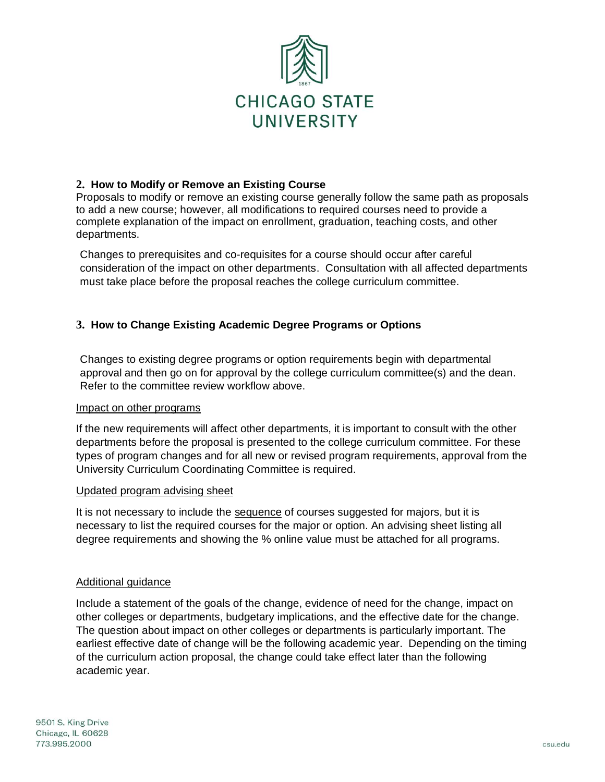

# **2. How to Modify or Remove an Existing Course**

Proposals to modify or remove an existing course generally follow the same path as proposals to add a new course; however, all modifications to required courses need to provide a complete explanation of the impact on enrollment, graduation, teaching costs, and other departments.

Changes to prerequisites and co-requisites for a course should occur after careful consideration of the impact on other departments. Consultation with all affected departments must take place before the proposal reaches the college curriculum committee.

# **3. How to Change Existing Academic Degree Programs or Options**

Changes to existing degree programs or option requirements begin with departmental approval and then go on for approval by the college curriculum committee(s) and the dean. Refer to the committee review workflow above.

#### Impact on other programs

If the new requirements will affect other departments, it is important to consult with the other departments before the proposal is presented to the college curriculum committee. For these types of program changes and for all new or revised program requirements, approval from the University Curriculum Coordinating Committee is required.

#### Updated program advising sheet

It is not necessary to include the sequence of courses suggested for majors, but it is necessary to list the required courses for the major or option. An advising sheet listing all degree requirements and showing the % online value must be attached for all programs.

#### Additional guidance

Include a statement of the goals of the change, evidence of need for the change, impact on other colleges or departments, budgetary implications, and the effective date for the change. The question about impact on other colleges or departments is particularly important. The earliest effective date of change will be the following academic year. Depending on the timing of the curriculum action proposal, the change could take effect later than the following academic year.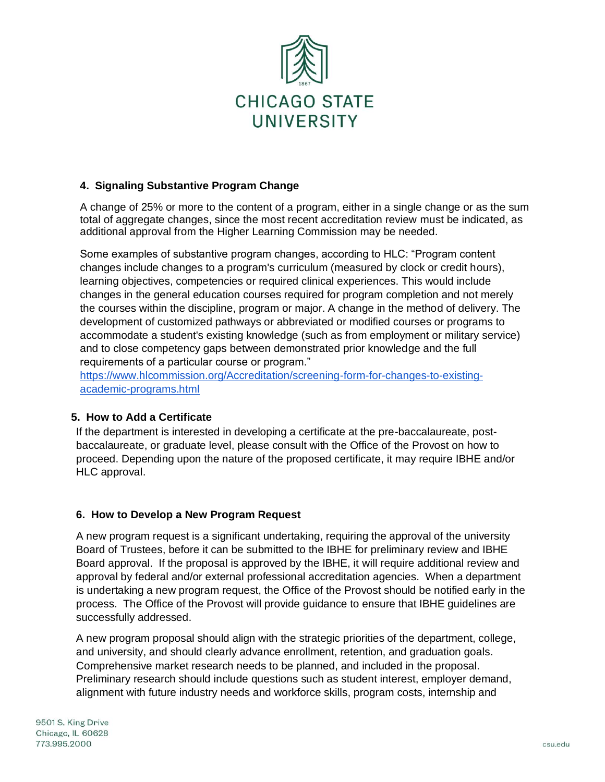

# **4. Signaling Substantive Program Change**

A change of 25% or more to the content of a program, either in a single change or as the sum total of aggregate changes, since the most recent accreditation review must be indicated, as additional approval from the Higher Learning Commission may be needed.

Some examples of substantive program changes, according to HLC: "Program content changes include changes to a program's curriculum (measured by clock or credit hours), learning objectives, competencies or required clinical experiences. This would include changes in the general education courses required for program completion and not merely the courses within the discipline, program or major. A change in the method of delivery. The development of customized pathways or abbreviated or modified courses or programs to accommodate a student's existing knowledge (such as from employment or military service) and to close competency gaps between demonstrated prior knowledge and the full requirements of a particular course or program."

[https://www.hlcommission.org/Accreditation/screening-form-for-changes-to-existing](https://www.hlcommission.org/Accreditation/screening-form-for-changes-to-existing-academic-programs.html)[academic-programs.html](https://www.hlcommission.org/Accreditation/screening-form-for-changes-to-existing-academic-programs.html)

## **5. How to Add a Certificate**

If the department is interested in developing a certificate at the pre-baccalaureate, postbaccalaureate, or graduate level, please consult with the Office of the Provost on how to proceed. Depending upon the nature of the proposed certificate, it may require IBHE and/or HLC approval.

## **6. How to Develop a New Program Request**

A new program request is a significant undertaking, requiring the approval of the university Board of Trustees, before it can be submitted to the IBHE for preliminary review and IBHE Board approval. If the proposal is approved by the IBHE, it will require additional review and approval by federal and/or external professional accreditation agencies. When a department is undertaking a new program request, the Office of the Provost should be notified early in the process. The Office of the Provost will provide guidance to ensure that IBHE guidelines are successfully addressed.

A new program proposal should align with the strategic priorities of the department, college, and university, and should clearly advance enrollment, retention, and graduation goals. Comprehensive market research needs to be planned, and included in the proposal. Preliminary research should include questions such as student interest, employer demand, alignment with future industry needs and workforce skills, program costs, internship and